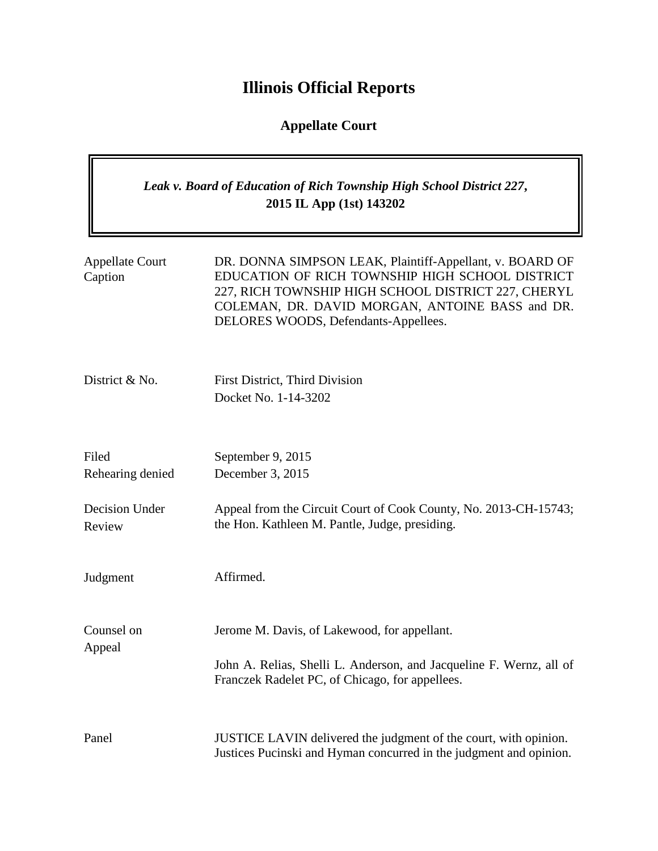# **Illinois Official Reports**

## **Appellate Court**

### *Leak v. Board of Education of Rich Township High School District 227***, 2015 IL App (1st) 143202**

| <b>Appellate Court</b><br>Caption | DR. DONNA SIMPSON LEAK, Plaintiff-Appellant, v. BOARD OF<br>EDUCATION OF RICH TOWNSHIP HIGH SCHOOL DISTRICT<br>227, RICH TOWNSHIP HIGH SCHOOL DISTRICT 227, CHERYL<br>COLEMAN, DR. DAVID MORGAN, ANTOINE BASS and DR.<br>DELORES WOODS, Defendants-Appellees. |
|-----------------------------------|---------------------------------------------------------------------------------------------------------------------------------------------------------------------------------------------------------------------------------------------------------------|
| District & No.                    | First District, Third Division<br>Docket No. 1-14-3202                                                                                                                                                                                                        |
| Filed<br>Rehearing denied         | September 9, 2015<br>December 3, 2015                                                                                                                                                                                                                         |
| Decision Under<br>Review          | Appeal from the Circuit Court of Cook County, No. 2013-CH-15743;<br>the Hon. Kathleen M. Pantle, Judge, presiding.                                                                                                                                            |
| Judgment                          | Affirmed.                                                                                                                                                                                                                                                     |
| Counsel on<br>Appeal              | Jerome M. Davis, of Lakewood, for appellant.<br>John A. Relias, Shelli L. Anderson, and Jacqueline F. Wernz, all of                                                                                                                                           |
|                                   | Franczek Radelet PC, of Chicago, for appellees.                                                                                                                                                                                                               |
| Panel                             | JUSTICE LAVIN delivered the judgment of the court, with opinion.<br>Justices Pucinski and Hyman concurred in the judgment and opinion.                                                                                                                        |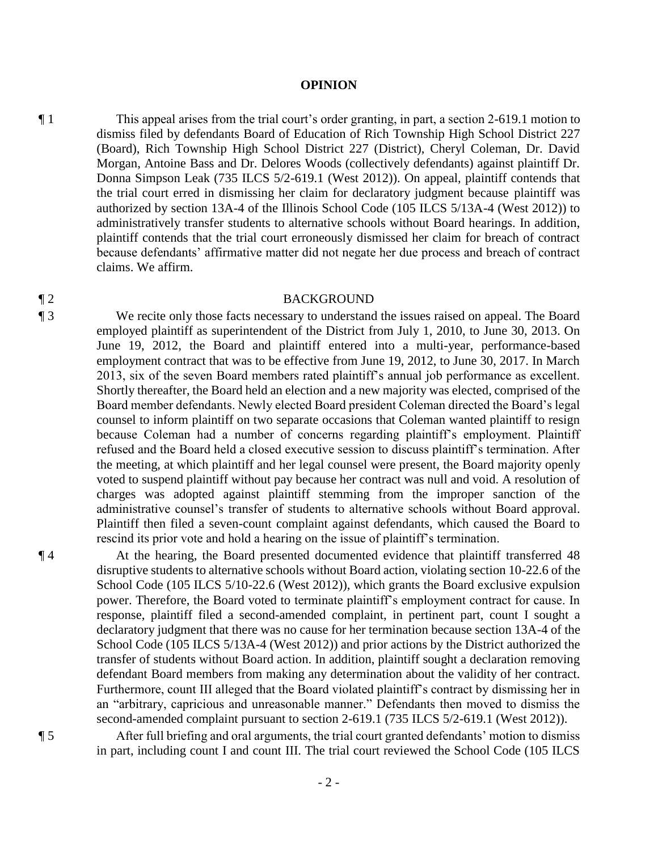#### **OPINION**

¶ 1 This appeal arises from the trial court's order granting, in part, a section 2-619.1 motion to dismiss filed by defendants Board of Education of Rich Township High School District 227 (Board), Rich Township High School District 227 (District), Cheryl Coleman, Dr. David Morgan, Antoine Bass and Dr. Delores Woods (collectively defendants) against plaintiff Dr. Donna Simpson Leak (735 ILCS 5/2-619.1 (West 2012)). On appeal, plaintiff contends that the trial court erred in dismissing her claim for declaratory judgment because plaintiff was authorized by section 13A-4 of the Illinois School Code (105 ILCS 5/13A-4 (West 2012)) to administratively transfer students to alternative schools without Board hearings. In addition, plaintiff contends that the trial court erroneously dismissed her claim for breach of contract because defendants' affirmative matter did not negate her due process and breach of contract claims. We affirm.

#### ¶ 2 BACKGROUND

¶ 3 We recite only those facts necessary to understand the issues raised on appeal. The Board employed plaintiff as superintendent of the District from July 1, 2010, to June 30, 2013. On June 19, 2012, the Board and plaintiff entered into a multi-year, performance-based employment contract that was to be effective from June 19, 2012, to June 30, 2017. In March 2013, six of the seven Board members rated plaintiff's annual job performance as excellent. Shortly thereafter, the Board held an election and a new majority was elected, comprised of the Board member defendants. Newly elected Board president Coleman directed the Board's legal counsel to inform plaintiff on two separate occasions that Coleman wanted plaintiff to resign because Coleman had a number of concerns regarding plaintiff's employment. Plaintiff refused and the Board held a closed executive session to discuss plaintiff's termination. After the meeting, at which plaintiff and her legal counsel were present, the Board majority openly voted to suspend plaintiff without pay because her contract was null and void. A resolution of charges was adopted against plaintiff stemming from the improper sanction of the administrative counsel's transfer of students to alternative schools without Board approval. Plaintiff then filed a seven-count complaint against defendants, which caused the Board to rescind its prior vote and hold a hearing on the issue of plaintiff's termination.

¶ 4 At the hearing, the Board presented documented evidence that plaintiff transferred 48 disruptive students to alternative schools without Board action, violating section 10-22.6 of the School Code (105 ILCS 5/10-22.6 (West 2012)), which grants the Board exclusive expulsion power. Therefore, the Board voted to terminate plaintiff's employment contract for cause. In response, plaintiff filed a second-amended complaint, in pertinent part, count I sought a declaratory judgment that there was no cause for her termination because section 13A-4 of the School Code (105 ILCS 5/13A-4 (West 2012)) and prior actions by the District authorized the transfer of students without Board action. In addition, plaintiff sought a declaration removing defendant Board members from making any determination about the validity of her contract. Furthermore, count III alleged that the Board violated plaintiff's contract by dismissing her in an "arbitrary, capricious and unreasonable manner." Defendants then moved to dismiss the second-amended complaint pursuant to section 2-619.1 (735 ILCS 5/2-619.1 (West 2012)).

¶ 5 After full briefing and oral arguments, the trial court granted defendants' motion to dismiss in part, including count I and count III. The trial court reviewed the School Code (105 ILCS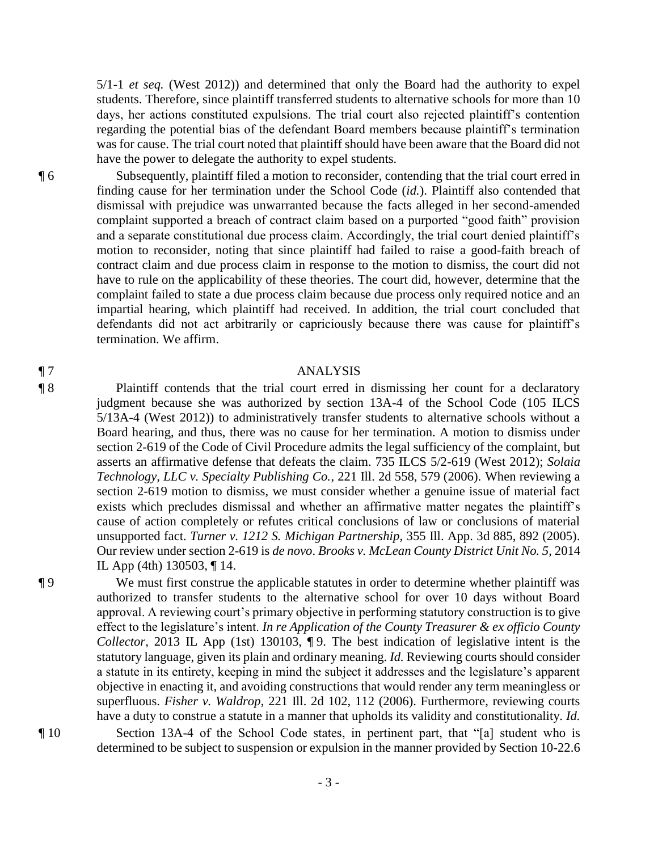5/1-1 *et seq.* (West 2012)) and determined that only the Board had the authority to expel students. Therefore, since plaintiff transferred students to alternative schools for more than 10 days, her actions constituted expulsions. The trial court also rejected plaintiff's contention regarding the potential bias of the defendant Board members because plaintiff's termination was for cause. The trial court noted that plaintiff should have been aware that the Board did not have the power to delegate the authority to expel students.

¶ 6 Subsequently, plaintiff filed a motion to reconsider, contending that the trial court erred in finding cause for her termination under the School Code (*id.*). Plaintiff also contended that dismissal with prejudice was unwarranted because the facts alleged in her second-amended complaint supported a breach of contract claim based on a purported "good faith" provision and a separate constitutional due process claim. Accordingly, the trial court denied plaintiff's motion to reconsider, noting that since plaintiff had failed to raise a good-faith breach of contract claim and due process claim in response to the motion to dismiss, the court did not have to rule on the applicability of these theories. The court did, however, determine that the complaint failed to state a due process claim because due process only required notice and an impartial hearing, which plaintiff had received. In addition, the trial court concluded that defendants did not act arbitrarily or capriciously because there was cause for plaintiff's termination. We affirm.

### ¶ 7 ANALYSIS

¶ 8 Plaintiff contends that the trial court erred in dismissing her count for a declaratory judgment because she was authorized by section 13A-4 of the School Code (105 ILCS 5/13A-4 (West 2012)) to administratively transfer students to alternative schools without a Board hearing, and thus, there was no cause for her termination. A motion to dismiss under section 2-619 of the Code of Civil Procedure admits the legal sufficiency of the complaint, but asserts an affirmative defense that defeats the claim. 735 ILCS 5/2-619 (West 2012); *Solaia Technology, LLC v. Specialty Publishing Co.*, 221 Ill. 2d 558, 579 (2006). When reviewing a section 2-619 motion to dismiss, we must consider whether a genuine issue of material fact exists which precludes dismissal and whether an affirmative matter negates the plaintiff's cause of action completely or refutes critical conclusions of law or conclusions of material unsupported fact. *Turner v. 1212 S. Michigan Partnership*, 355 Ill. App. 3d 885, 892 (2005). Our review under section 2-619 is *de novo*. *Brooks v. McLean County District Unit No. 5*, 2014 IL App (4th) 130503, ¶ 14.

¶ 9 We must first construe the applicable statutes in order to determine whether plaintiff was authorized to transfer students to the alternative school for over 10 days without Board approval. A reviewing court's primary objective in performing statutory construction is to give effect to the legislature's intent. *In re Application of the County Treasurer & ex officio County Collector*, 2013 IL App (1st) 130103,  $\P$ 9. The best indication of legislative intent is the statutory language, given its plain and ordinary meaning. *Id.* Reviewing courts should consider a statute in its entirety, keeping in mind the subject it addresses and the legislature's apparent objective in enacting it, and avoiding constructions that would render any term meaningless or superfluous. *Fisher v. Waldrop*, 221 Ill. 2d 102, 112 (2006). Furthermore, reviewing courts have a duty to construe a statute in a manner that upholds its validity and constitutionality. *Id.*  ¶ 10 Section 13A-4 of the School Code states, in pertinent part, that "[a] student who is

determined to be subject to suspension or expulsion in the manner provided by Section 10-22.6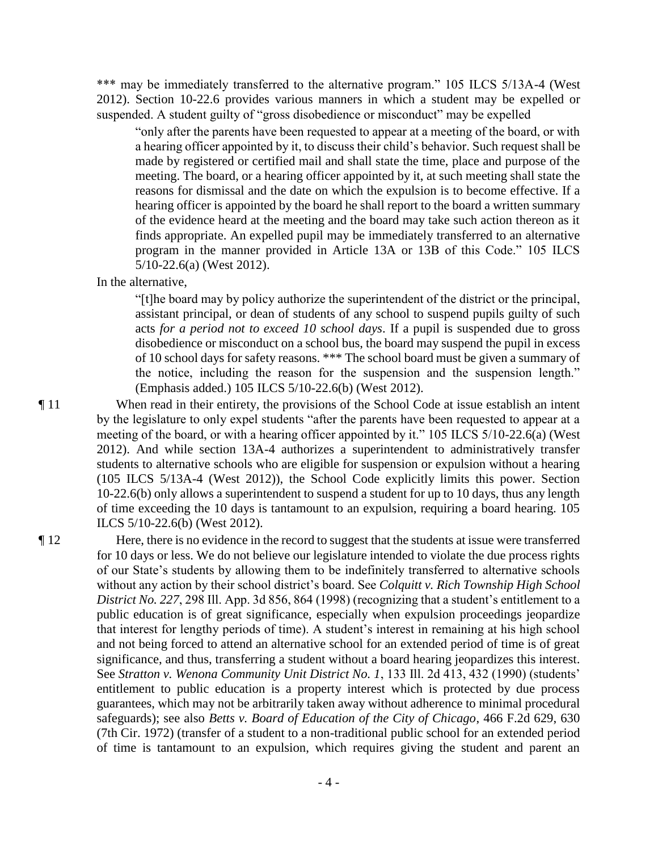\*\*\* may be immediately transferred to the alternative program." 105 ILCS 5/13A-4 (West 2012). Section 10-22.6 provides various manners in which a student may be expelled or suspended. A student guilty of "gross disobedience or misconduct" may be expelled

"only after the parents have been requested to appear at a meeting of the board, or with a hearing officer appointed by it, to discuss their child's behavior. Such request shall be made by registered or certified mail and shall state the time, place and purpose of the meeting. The board, or a hearing officer appointed by it, at such meeting shall state the reasons for dismissal and the date on which the expulsion is to become effective. If a hearing officer is appointed by the board he shall report to the board a written summary of the evidence heard at the meeting and the board may take such action thereon as it finds appropriate. An expelled pupil may be immediately transferred to an alternative program in the manner provided in Article 13A or 13B of this Code." 105 ILCS 5/10-22.6(a) (West 2012).

#### In the alternative,

"[t]he board may by policy authorize the superintendent of the district or the principal, assistant principal, or dean of students of any school to suspend pupils guilty of such acts *for a period not to exceed 10 school days*. If a pupil is suspended due to gross disobedience or misconduct on a school bus, the board may suspend the pupil in excess of 10 school days for safety reasons. \*\*\* The school board must be given a summary of the notice, including the reason for the suspension and the suspension length." (Emphasis added.) 105 ILCS 5/10-22.6(b) (West 2012).

¶ 11 When read in their entirety, the provisions of the School Code at issue establish an intent by the legislature to only expel students "after the parents have been requested to appear at a meeting of the board, or with a hearing officer appointed by it." 105 ILCS 5/10-22.6(a) (West 2012). And while section 13A-4 authorizes a superintendent to administratively transfer students to alternative schools who are eligible for suspension or expulsion without a hearing (105 ILCS 5/13A-4 (West 2012)), the School Code explicitly limits this power. Section 10-22.6(b) only allows a superintendent to suspend a student for up to 10 days, thus any length of time exceeding the 10 days is tantamount to an expulsion, requiring a board hearing. 105 ILCS 5/10-22.6(b) (West 2012).

¶ 12 Here, there is no evidence in the record to suggest that the students at issue were transferred for 10 days or less. We do not believe our legislature intended to violate the due process rights of our State's students by allowing them to be indefinitely transferred to alternative schools without any action by their school district's board. See *Colquitt v. Rich Township High School District No. 227*, 298 Ill. App. 3d 856, 864 (1998) (recognizing that a student's entitlement to a public education is of great significance, especially when expulsion proceedings jeopardize that interest for lengthy periods of time). A student's interest in remaining at his high school and not being forced to attend an alternative school for an extended period of time is of great significance, and thus, transferring a student without a board hearing jeopardizes this interest. See *Stratton v. Wenona Community Unit District No. 1*, 133 Ill. 2d 413, 432 (1990) (students' entitlement to public education is a property interest which is protected by due process guarantees, which may not be arbitrarily taken away without adherence to minimal procedural safeguards); see also *Betts v. Board of Education of the City of Chicago*, 466 F.2d 629, 630 (7th Cir. 1972) (transfer of a student to a non-traditional public school for an extended period of time is tantamount to an expulsion, which requires giving the student and parent an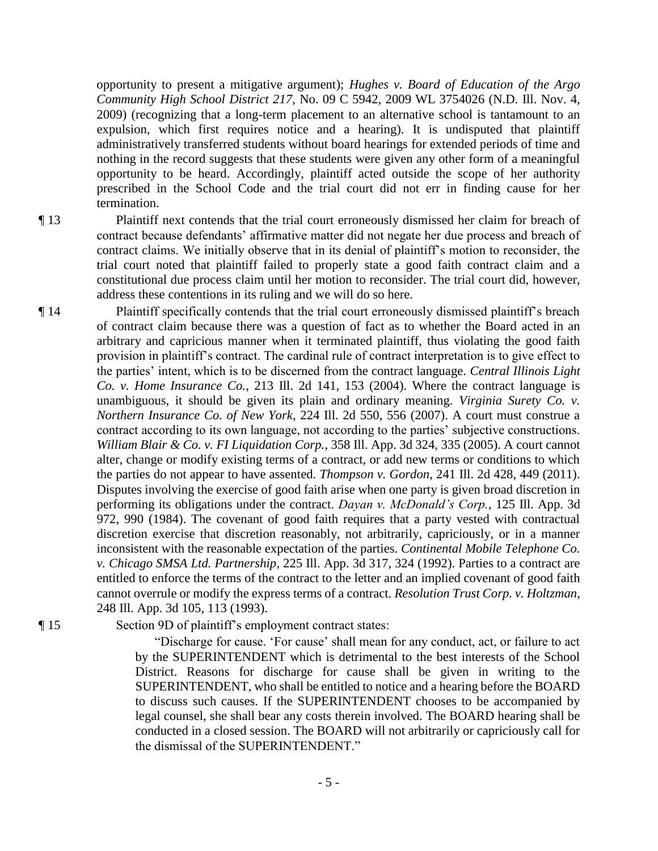opportunity to present a mitigative argument); *Hughes v. Board of Education of the Argo Community High School District 217*, No. 09 C 5942, 2009 WL 3754026 (N.D. Ill. Nov. 4, 2009) (recognizing that a long-term placement to an alternative school is tantamount to an expulsion, which first requires notice and a hearing). It is undisputed that plaintiff administratively transferred students without board hearings for extended periods of time and nothing in the record suggests that these students were given any other form of a meaningful opportunity to be heard. Accordingly, plaintiff acted outside the scope of her authority prescribed in the School Code and the trial court did not err in finding cause for her termination.

¶ 13 Plaintiff next contends that the trial court erroneously dismissed her claim for breach of contract because defendants' affirmative matter did not negate her due process and breach of contract claims. We initially observe that in its denial of plaintiff's motion to reconsider, the trial court noted that plaintiff failed to properly state a good faith contract claim and a constitutional due process claim until her motion to reconsider. The trial court did, however, address these contentions in its ruling and we will do so here.

¶ 14 Plaintiff specifically contends that the trial court erroneously dismissed plaintiff's breach of contract claim because there was a question of fact as to whether the Board acted in an arbitrary and capricious manner when it terminated plaintiff, thus violating the good faith provision in plaintiff's contract. The cardinal rule of contract interpretation is to give effect to the parties' intent, which is to be discerned from the contract language. *Central Illinois Light Co. v. Home Insurance Co.*, 213 Ill. 2d 141, 153 (2004). Where the contract language is unambiguous, it should be given its plain and ordinary meaning. *Virginia Surety Co. v. Northern Insurance Co. of New York*, 224 Ill. 2d 550, 556 (2007). A court must construe a contract according to its own language, not according to the parties' subjective constructions. *William Blair & Co. v. FI Liquidation Corp.*, 358 Ill. App. 3d 324, 335 (2005). A court cannot alter, change or modify existing terms of a contract, or add new terms or conditions to which the parties do not appear to have assented. *Thompson v. Gordon*, 241 Ill. 2d 428, 449 (2011). Disputes involving the exercise of good faith arise when one party is given broad discretion in performing its obligations under the contract. *Dayan v. McDonald's Corp.*, 125 Ill. App. 3d 972, 990 (1984). The covenant of good faith requires that a party vested with contractual discretion exercise that discretion reasonably, not arbitrarily, capriciously, or in a manner inconsistent with the reasonable expectation of the parties. *Continental Mobile Telephone Co. v. Chicago SMSA Ltd. Partnership*, 225 Ill. App. 3d 317, 324 (1992). Parties to a contract are entitled to enforce the terms of the contract to the letter and an implied covenant of good faith cannot overrule or modify the express terms of a contract. *Resolution Trust Corp. v. Holtzman*, 248 Ill. App. 3d 105, 113 (1993).

¶ 15 Section 9D of plaintiff's employment contract states:

"Discharge for cause. 'For cause' shall mean for any conduct, act, or failure to act by the SUPERINTENDENT which is detrimental to the best interests of the School District. Reasons for discharge for cause shall be given in writing to the SUPERINTENDENT, who shall be entitled to notice and a hearing before the BOARD to discuss such causes. If the SUPERINTENDENT chooses to be accompanied by legal counsel, she shall bear any costs therein involved. The BOARD hearing shall be conducted in a closed session. The BOARD will not arbitrarily or capriciously call for the dismissal of the SUPERINTENDENT."